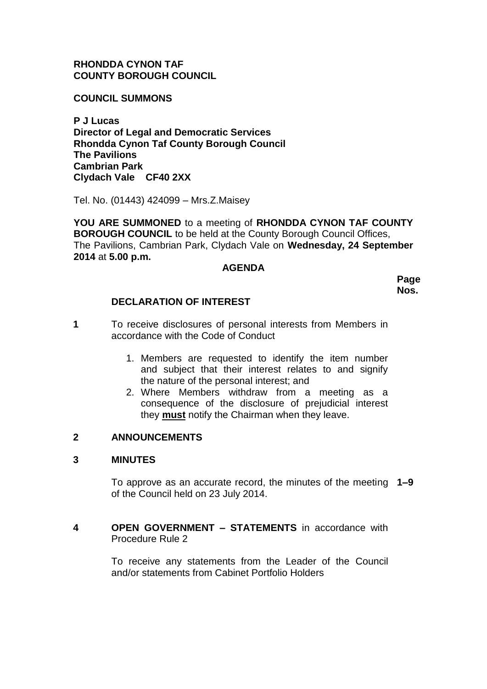# **RHONDDA CYNON TAF COUNTY BOROUGH COUNCIL**

**COUNCIL SUMMONS**

**P J Lucas Director of Legal and Democratic Services Rhondda Cynon Taf County Borough Council The Pavilions Cambrian Park Clydach Vale CF40 2XX**

Tel. No. (01443) 424099 – Mrs.Z.Maisey

**YOU ARE SUMMONED** to a meeting of **RHONDDA CYNON TAF COUNTY BOROUGH COUNCIL** to be held at the County Borough Council Offices, The Pavilions, Cambrian Park, Clydach Vale on **Wednesday, 24 September 2014** at **5.00 p.m.**

#### **AGENDA**

**Page Nos.**

# **DECLARATION OF INTEREST**

- **1** To receive disclosures of personal interests from Members in accordance with the Code of Conduct
	- 1. Members are requested to identify the item number and subject that their interest relates to and signify the nature of the personal interest; and
	- 2. Where Members withdraw from a meeting as a consequence of the disclosure of prejudicial interest they **must** notify the Chairman when they leave.

# **2 ANNOUNCEMENTS**

#### **3 MINUTES**

To approve as an accurate record, the minutes of the meeting **1–9**  of the Council held on 23 July 2014.

**4 OPEN GOVERNMENT – STATEMENTS** in accordance with Procedure Rule 2

> To receive any statements from the Leader of the Council and/or statements from Cabinet Portfolio Holders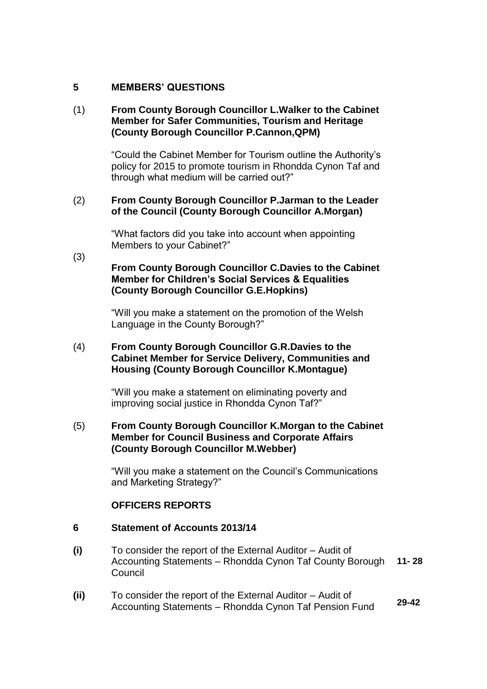# **5 MEMBERS' QUESTIONS**

# (1) **From County Borough Councillor L.Walker to the Cabinet Member for Safer Communities, Tourism and Heritage (County Borough Councillor P.Cannon,QPM)**

"Could the Cabinet Member for Tourism outline the Authority's policy for 2015 to promote tourism in Rhondda Cynon Taf and through what medium will be carried out?"

#### (2) **From County Borough Councillor P.Jarman to the Leader of the Council (County Borough Councillor A.Morgan)**

"What factors did you take into account when appointing Members to your Cabinet?"

(3)

## **From County Borough Councillor C.Davies to the Cabinet Member for Children's Social Services & Equalities (County Borough Councillor G.E.Hopkins)**

"Will you make a statement on the promotion of the Welsh Language in the County Borough?"

#### (4) **From County Borough Councillor G.R.Davies to the Cabinet Member for Service Delivery, Communities and Housing (County Borough Councillor K.Montague)**

"Will you make a statement on eliminating poverty and improving social justice in Rhondda Cynon Taf?"

#### (5) **From County Borough Councillor K.Morgan to the Cabinet Member for Council Business and Corporate Affairs (County Borough Councillor M.Webber)**

"Will you make a statement on the Council's Communications and Marketing Strategy?"

# **OFFICERS REPORTS**

#### **6 Statement of Accounts 2013/14**

- **(i)** To consider the report of the External Auditor – Audit of Accounting Statements – Rhondda Cynon Taf County Borough **Council 11- 28**
- **(ii)** To consider the report of the External Auditor – Audit of Accounting Statements – Rhondda Cynon Taf Pension Fund **29-42**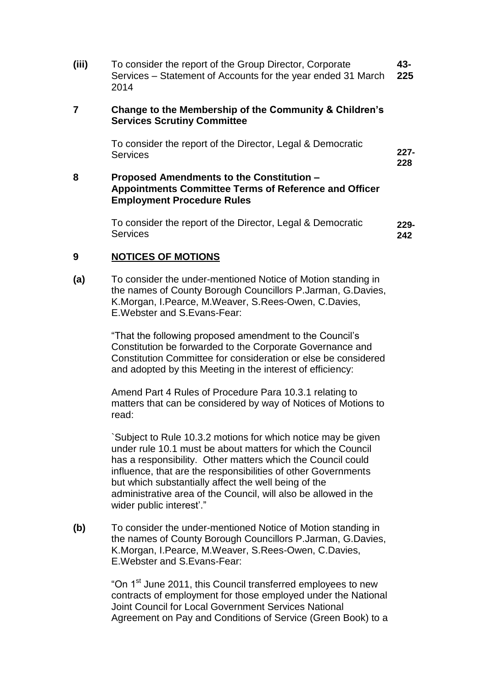**(iii)** To consider the report of the Group Director, Corporate Services – Statement of Accounts for the year ended 31 March 2014 **43- 225**

#### **7 Change to the Membership of the Community & Children's Services Scrutiny Committee**

To consider the report of the Director, Legal & Democratic **Services** 

#### **8 Proposed Amendments to the Constitution – Appointments Committee Terms of Reference and Officer Employment Procedure Rules**

To consider the report of the Director, Legal & Democratic **Services 229- 242**

**227- 228**

#### **9 NOTICES OF MOTIONS**

**(a)** To consider the under-mentioned Notice of Motion standing in the names of County Borough Councillors P.Jarman, G.Davies, K.Morgan, I.Pearce, M.Weaver, S.Rees-Owen, C.Davies, E.Webster and S.Evans-Fear:

> "That the following proposed amendment to the Council's Constitution be forwarded to the Corporate Governance and Constitution Committee for consideration or else be considered and adopted by this Meeting in the interest of efficiency:

> Amend Part 4 Rules of Procedure Para 10.3.1 relating to matters that can be considered by way of Notices of Motions to read:

`Subject to Rule 10.3.2 motions for which notice may be given under rule 10.1 must be about matters for which the Council has a responsibility. Other matters which the Council could influence, that are the responsibilities of other Governments but which substantially affect the well being of the administrative area of the Council, will also be allowed in the wider public interest'."

**(b)** To consider the under-mentioned Notice of Motion standing in the names of County Borough Councillors P.Jarman, G.Davies, K.Morgan, I.Pearce, M.Weaver, S.Rees-Owen, C.Davies, E.Webster and S.Evans-Fear:

> "On 1<sup>st</sup> June 2011, this Council transferred employees to new contracts of employment for those employed under the National Joint Council for Local Government Services National Agreement on Pay and Conditions of Service (Green Book) to a